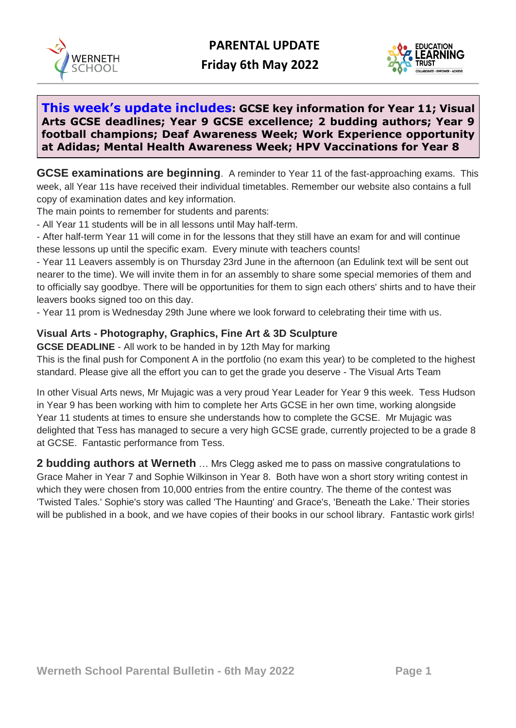

 **Friday 6th May 2022**



## **This week's update includes: GCSE key information for Year 11; Visual Arts GCSE deadlines; Year 9 GCSE excellence; 2 budding authors; Year 9 football champions; Deaf Awareness Week; Work Experience opportunity at Adidas; Mental Health Awareness Week; HPV Vaccinations for Year 8**

**GCSE examinations are beginning**. A reminder to Year 11 of the fast-approaching exams. This week, all Year 11s have received their individual timetables. Remember our website also contains a full copy of examination dates and key information.

The main points to remember for students and parents:

- All Year 11 students will be in all lessons until May half-term.

- After half-term Year 11 will come in for the lessons that they still have an exam for and will continue these lessons up until the specific exam. Every minute with teachers counts!

- Year 11 Leavers assembly is on Thursday 23rd June in the afternoon (an Edulink text will be sent out nearer to the time). We will invite them in for an assembly to share some special memories of them and to officially say goodbye. There will be opportunities for them to sign each others' shirts and to have their leavers books signed too on this day.

- Year 11 prom is Wednesday 29th June where we look forward to celebrating their time with us.

## **Visual Arts - Photography, Graphics, Fine Art & 3D Sculpture**

**GCSE DEADLINE** - All work to be handed in by 12th May for marking

This is the final push for Component A in the portfolio (no exam this year) to be completed to the highest standard. Please give all the effort you can to get the grade you deserve - The Visual Arts Team

In other Visual Arts news, Mr Mujagic was a very proud Year Leader for Year 9 this week. Tess Hudson in Year 9 has been working with him to complete her Arts GCSE in her own time, working alongside Year 11 students at times to ensure she understands how to complete the GCSE. Mr Mujagic was delighted that Tess has managed to secure a very high GCSE grade, currently projected to be a grade 8 at GCSE. Fantastic performance from Tess.

**2 budding authors at Werneth** … Mrs Clegg asked me to pass on massive congratulations to Grace Maher in Year 7 and Sophie Wilkinson in Year 8. Both have won a short story writing contest in which they were chosen from 10,000 entries from the entire country. The theme of the contest was 'Twisted Tales.' Sophie's story was called 'The Haunting' and Grace's, 'Beneath the Lake.' Their stories will be published in a book, and we have copies of their books in our school library. Fantastic work girls!